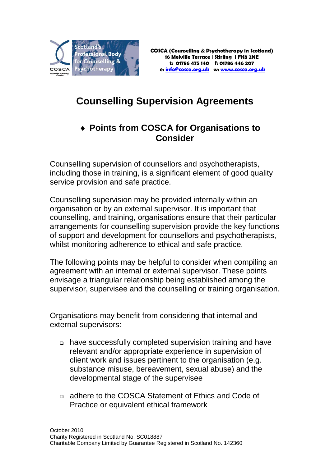

## **Counselling Supervision Agreements**

## ♦ **Points from COSCA for Organisations to Consider**

Counselling supervision of counsellors and psychotherapists, including those in training, is a significant element of good quality service provision and safe practice.

Counselling supervision may be provided internally within an organisation or by an external supervisor. It is important that counselling, and training, organisations ensure that their particular arrangements for counselling supervision provide the key functions of support and development for counsellors and psychotherapists, whilst monitoring adherence to ethical and safe practice.

The following points may be helpful to consider when compiling an agreement with an internal or external supervisor. These points envisage a triangular relationship being established among the supervisor, supervisee and the counselling or training organisation.

Organisations may benefit from considering that internal and external supervisors:

- have successfully completed supervision training and have relevant and/or appropriate experience in supervision of client work and issues pertinent to the organisation (e.g. substance misuse, bereavement, sexual abuse) and the developmental stage of the supervisee
- adhere to the COSCA Statement of Ethics and Code of Practice or equivalent ethical framework